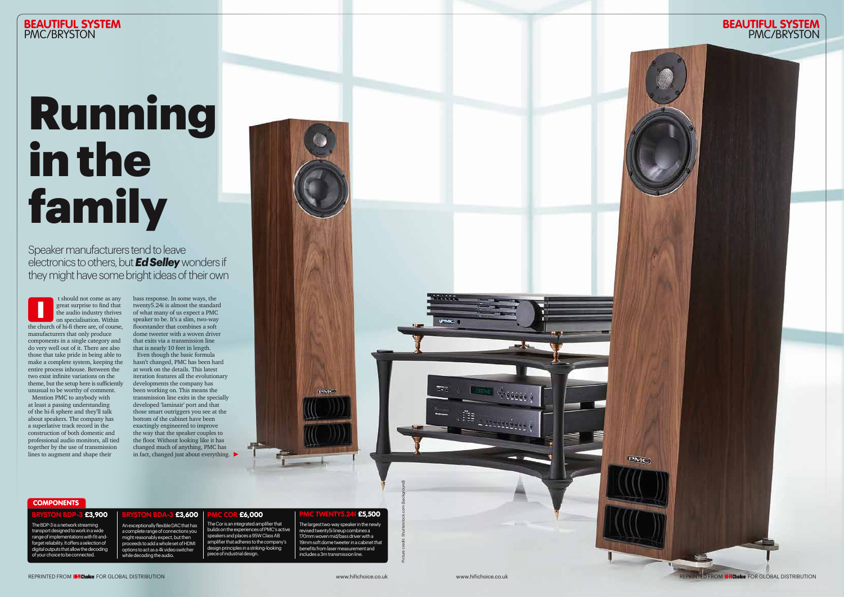Mention PMC to anybody with at least a passing understanding of the hi-fi sphere and they'll talk about speakers. The company has a superlative track record in the construction of both domestic and professional audio monitors, all tied together by the use of transmission lines to augment and shape their

 t should not come as any great surprise to find that the audio industry thrives on specialisation. Within the church of hi-fi there are, of course, manufacturers that only produce components in a single category and do very well out of it. There are also those that take pride in being able to make a complete system, keeping the entire process inhouse. Between the two exist infinite variations on the theme, but the setup here is sufficiently unusual to be worthy of comment. I

# **BEAUTIFUL SYSTEM**<br>PMC/BRYSTON PMC/BRYSTON PMC/BRYSTON

REPRINTED FROM **HHChoice** FOR GLOBAL DISTRIBUTION www.hifichoice.co.uk www.hifichoice.co.uk REPRINTED FROM **HHChoice** FOR GLOBAL DISTRIBUTION

**PMC** 

bass response. In some ways, the twenty5.24i is almost the standard of what many of us expect a PMC speaker to be. It's a slim, two-way floorstander that combines a soft dome tweeter with a woven driver that exits via a transmission line that is nearly 10 feet in length. Even though the basic formula hasn't changed, PMC has been hard

at work on the details. This latest iteration features all the evolutionary developments the company has been working on. This means the transmission line exits in the specially developed 'laminair' port and that those smart outriggers you see at the bottom of the cabinet have been exactingly engineered to improve the way that the speaker couples to the floor. Without looking like it has changed much of anything, PMC has in fact, changed just about everything.

## **COMPONENTS**

#### £3,900

# Running in the family

Speaker manufacturers tend to leave electronics to others, but *Ed Selley* wonders if they might have some bright ideas of their own

Picture credit: Shutterstock.com (background)

**The Second Contract of Contract Contract Contract Contract Contract Contract Contract Contract Contract Contract Contract Contract Contract Contract Contract Contract Contract Contract Contract Contract Contract Contract** 

. As <sub>4 secondum</sub> ;

**IPMO** 

The BDP-3 is a network streaming transport designed to work in a wide range of implementations with fit-andforget reliability. It offers a selection of digital outputs that allow the decoding of your choice to be connected.

An exceptionally flexible DAC that has a complete range of connections you might reasonably expect, but then proceeds to add a whole set of HDMI

£3,600

options to act as a 4k video switcher while decoding the audio.

### £6,000

The Cor is an integrated amplifier that builds on the experiences of PMC's active speakers and places a 95W Class AB amplifier that adheres to the company's design principles in a striking-looking piece of industrial design.

## £5,500

ewe

The largest two-way speaker in the newly revised twenty5i lineup combines a 170mm woven mid/bass driver with a 19mm soft dome tweeter in a cabinet that benefits from laser measurement and includes a 3m transmission line.